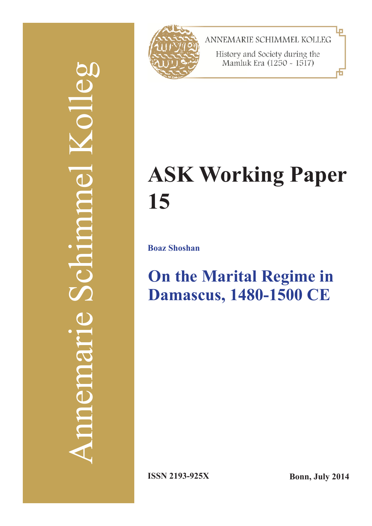# Annemarie Schimmel Kolleg COL Schmme memer



ANNEMARIE SCHIMMEL KOLLEG

History and Society during the Mamluk Era (1250 - 1517)

## **ASK Working Paper 15**

**Boaz Shoshan**

### **On the Marital Regime in Damascus, 1480-1500 CE**

**ISSN 2193-925X Bonn, July 2014**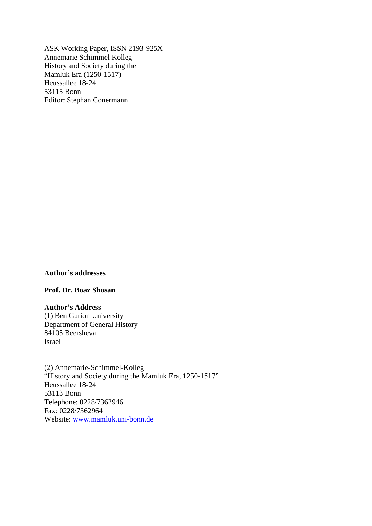ASK Working Paper, ISSN 2193-925X Annemarie Schimmel Kolleg History and Society during the Mamluk Era (1250-1517) Heussallee 18-24 53115 Bonn Editor: Stephan Conermann

#### **Author's addresses**

**Prof. Dr. Boaz Shosan**

**Author's Address** (1) Ben Gurion University Department of General History 84105 Beersheva Israel

(2) Annemarie-Schimmel-Kolleg "History and Society during the Mamluk Era, 1250-1517" Heussallee 18-24 53113 Bonn Telephone: 0228/7362946 Fax: 0228/7362964 Website: [www.mamluk.uni-bonn.de](http://www.mamluk.uni-bonn.de/)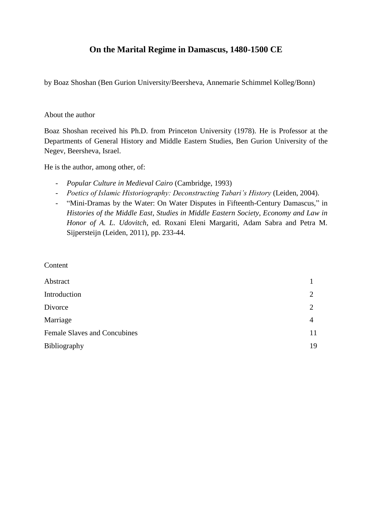#### **On the Marital Regime in Damascus, 1480-1500 CE**

by Boaz Shoshan (Ben Gurion University/Beersheva, Annemarie Schimmel Kolleg/Bonn)

#### About the author

Boaz Shoshan received his Ph.D. from Princeton University (1978). He is Professor at the Departments of General History and Middle Eastern Studies, Ben Gurion University of the Negev, Beersheva, Israel.

He is the author, among other, of:

- *Popular Culture in Medieval Cairo* (Cambridge, 1993)
- *Poetics of Islamic Historiography: Deconstructing Tabari's History (Leiden, 2004).*
- "Mini-Dramas by the Water: On Water Disputes in Fifteenth-Century Damascus," in *Histories of the Middle East*, *Studies in Middle Eastern Society, Economy and Law in Honor of A. L. Udovitch*, ed. Roxani Eleni Margariti, Adam Sabra and Petra M. Sijpersteijn (Leiden, 2011), pp. 233-44.

**Content** 

| Abstract                            |    |
|-------------------------------------|----|
| Introduction                        | 2  |
| Divorce                             | 2  |
| Marriage                            | 4  |
| <b>Female Slaves and Concubines</b> | 11 |
| <b>Bibliography</b>                 | 19 |
|                                     |    |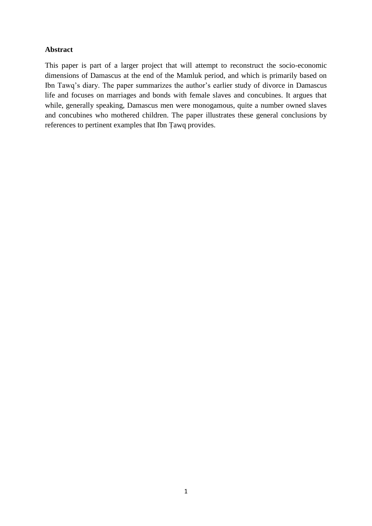#### **Abstract**

This paper is part of a larger project that will attempt to reconstruct the socio-economic dimensions of Damascus at the end of the Mamluk period, and which is primarily based on Ibn Tawq's diary. The paper summarizes the author's earlier study of divorce in Damascus life and focuses on marriages and bonds with female slaves and concubines. It argues that while, generally speaking, Damascus men were monogamous, quite a number owned slaves and concubines who mothered children. The paper illustrates these general conclusions by references to pertinent examples that Ibn Ṭawq provides.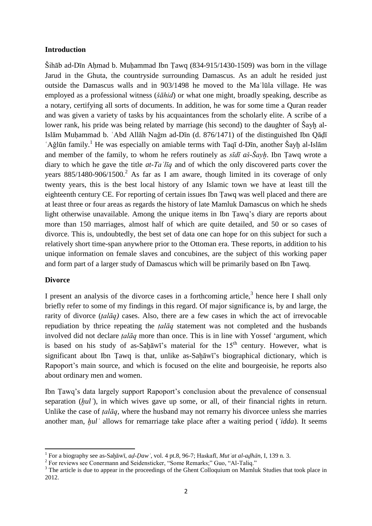#### **Introduction**

Šihāb ad-Dīn Aḥmad b. Muḥammad Ibn Ṭawq (834-915/1430-1509) was born in the village Jarud in the Ghuta, the countryside surrounding Damascus. As an adult he resided just outside the Damascus walls and in 903/1498 he moved to the Maʿlūla village. He was employed as a professional witness (*šāhid*) or what one might, broadly speaking, describe as a notary, certifying all sorts of documents. In addition, he was for some time a Quran reader and was given a variety of tasks by his acquaintances from the scholarly elite. A scribe of a lower rank, his pride was being related by marriage (his second) to the daughter of Sayh al-Islām Muḥammad b. ʿAbd Allāh Naǧm ad-Dīn (d. 876/1471) of the distinguished Ibn Qāḍī 'Ağlūn family.<sup>1</sup> He was especially on amiable terms with Taqī d-Dīn, another Šayḫ al-Islām and member of the family, to whom he refers routinely as *sīdī aš-Šayḫ*. Ibn Ṭawq wrote a diary to which he gave the title *at-Taʿlīq* and of which the only discovered parts cover the years  $885/1480-906/1500$ <sup>2</sup> As far as I am aware, though limited in its coverage of only twenty years, this is the best local history of any Islamic town we have at least till the eighteenth century CE. For reporting of certain issues Ibn Ṭawq was well placed and there are at least three or four areas as regards the history of late Mamluk Damascus on which he sheds light otherwise unavailable. Among the unique items in Ibn Ṭawq's diary are reports about more than 150 marriages, almost half of which are quite detailed, and 50 or so cases of divorce. This is, undoubtedly, the best set of data one can hope for on this subject for such a relatively short time-span anywhere prior to the Ottoman era. These reports, in addition to his unique information on female slaves and concubines, are the subject of this working paper and form part of a larger study of Damascus which will be primarily based on Ibn Ṭawq.

#### **Divorce**

I present an analysis of the divorce cases in a forthcoming article, $3$  hence here I shall only briefly refer to some of my findings in this regard. Of major significance is, by and large, the rarity of divorce (*ṭalāq)* cases. Also, there are a few cases in which the act of irrevocable repudiation by thrice repeating the *ṭalāq* statement was not completed and the husbands involved did not declare *ṭalāq* more than once. This is in line with Yossef 'argument, which is based on his study of as-Sah $\bar{a}$ wī's material for the  $15<sup>th</sup>$  century. However, what is significant about Ibn Tawq is that, unlike as-Sahāwī's biographical dictionary, which is Rapoport's main source, and which is focused on the elite and bourgeoisie, he reports also about ordinary men and women.

Ibn Ṭawq's data largely support Rapoport's conclusion about the prevalence of consensual separation (*hul*<sup> $\prime$ </sup>), in which wives gave up some, or all, of their financial rights in return. Unlike the case of *ṭalāq*, where the husband may not remarry his divorcee unless she marries another man, *ḫulʿ* allows for remarriage take place after a waiting period (*ʿidda*). It seems

 1 For a biography see as-Saḫāwī, *aḍ-Ḍawʾ*, vol. 4 pt.8, 96-7; Haskafī, *Mutʿat al-aḏhān*, I, 139 n. 3.

<sup>&</sup>lt;sup>2</sup> For reviews see Conermann and Seidensticker, "Some Remarks;" Guo, "Al-Taliq."

<sup>&</sup>lt;sup>3</sup> The article is due to appear in the proceedings of the Ghent Colloquium on Mamluk Studies that took place in 2012.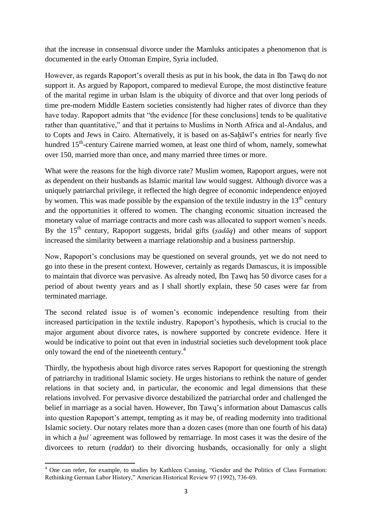that the increase in consensual divorce under the Mamluks anticipates a phenomenon that is documented in the early Ottoman Empire, Syria included.

However, as regards Rapoport's overall thesis as put in his book, the data in Ibn Ṭawq do not support it. As argued by Rapoport, compared to medieval Europe, the most distinctive feature of the marital regime in urban Islam is the ubiquity of divorce and that over long periods of time pre-modern Middle Eastern societies consistently had higher rates of divorce than they have today. Rapoport admits that "the evidence [for these conclusions] tends to be qualitative rather than quantitative," and that it pertains to Muslims in North Africa and al-Andalus, and to Copts and Jews in Cairo. Alternatively, it is based on as-Sahāwī's entries for nearly five hundred 15<sup>th</sup>-century Cairene married women, at least one third of whom, namely, somewhat over 150, married more than once, and many married three times or more.

What were the reasons for the high divorce rate? Muslim women, Rapoport argues, were not as dependent on their husbands as Islamic marital law would suggest. Although divorce was a uniquely patriarchal privilege, it reflected the high degree of economic independence enjoyed by women. This was made possible by the expansion of the textile industry in the  $13<sup>th</sup>$  century and the opportunities it offered to women. The changing economic situation increased the monetary value of marriage contracts and more cash was allocated to support women's needs. By the  $15<sup>th</sup>$  century, Rapoport suggests, bridal gifts (*sadaq*) and other means of support increased the similarity between a marriage relationship and a business partnership.

Now, Rapoport's conclusions may be questioned on several grounds, yet we do not need to go into these in the present context. However, certainly as regards Damascus, it is impossible to maintain that divorce was pervasive. As already noted, Ibn Ṭawq has 50 divorce cases for a period of about twenty years and as I shall shortly explain, these 50 cases were far from terminated marriage.

The second related issue is of women's economic independence resulting from their increased participation in the textile industry. Rapoport's hypothesis, which is crucial to the major argument about divorce rates, is nowhere supported by concrete evidence. Here it would be indicative to point out that even in industrial societies such development took place only toward the end of the nineteenth century.<sup>4</sup>

Thirdly, the hypothesis about high divorce rates serves Rapoport for questioning the strength of patriarchy in traditional Islamic society. He urges historians to rethink the nature of gender relations in that society and, in particular, the economic and legal dimensions that these relations involved. For pervasive divorce destabilized the patriarchal order and challenged the belief in marriage as a social haven. However, Ibn Ṭawq's information about Damascus calls into question Rapoport's attempt, tempting as it may be, of reading modernity into traditional Islamic society. Our notary relates more than a dozen cases (more than one fourth of his data) in which a *ḫulʿ* agreement was followed by remarriage. In most cases it was the desire of the divorcees to return (*raddat*) to their divorcing husbands, occasionally for only a slight

<sup>1</sup> <sup>4</sup> One can refer, for example, to studies by Kathleen Canning, "Gender and the Politics of Class Formation: Rethinking German Labor History," American Historical Review 97 (1992), 736-69.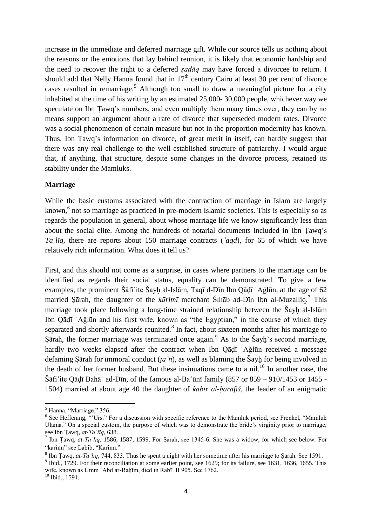increase in the immediate and deferred marriage gift. While our source tells us nothing about the reasons or the emotions that lay behind reunion, it is likely that economic hardship and the need to recover the right to a deferred *ṣadāq* may have forced a divorcee to return. I should add that Nelly Hanna found that in  $17<sup>th</sup>$  century Cairo at least 30 per cent of divorce cases resulted in remarriage.<sup>5</sup> Although too small to draw a meaningful picture for a city inhabited at the time of his writing by an estimated 25,000- 30,000 people, whichever way we speculate on Ibn Ṭawq's numbers, and even multiply them many times over, they can by no means support an argument about a rate of divorce that superseded modern rates. Divorce was a social phenomenon of certain measure but not in the proportion modernity has known. Thus, Ibn Ṭawq's information on divorce, of great merit in itself, can hardly suggest that there was any real challenge to the well-established structure of patriarchy. I would argue that, if anything, that structure, despite some changes in the divorce process, retained its stability under the Mamluks.

#### **Marriage**

While the basic customs associated with the contraction of marriage in Islam are largely known,<sup>6</sup> not so marriage as practiced in pre-modern Islamic societies. This is especially so as regards the population in general, about whose marriage life we know significantly less than about the social elite. Among the hundreds of notarial documents included in Ibn Ṭawq's *Taʿlīq*, there are reports about 150 marriage contracts (*ʿaqd*), for 65 of which we have relatively rich information. What does it tell us?

First, and this should not come as a surprise, in cases where partners to the marriage can be identified as regards their social status, equality can be demonstrated. To give a few examples, the prominent Šāfiʿite Šayḫ al-Islām, Taqī d-Dīn Ibn Qāḍī ʿAǧlūn, at the age of 62 married Ṣārah, the daughter of the *kārimī* merchant Šihāb ad-Dīn Ibn al-Muzalliq.<sup>7</sup> This marriage took place following a long-time strained relationship between the Šayh al-Islām Ibn Qāḍī ʿAǧlūn and his first wife, known as "the Egyptian," in the course of which they separated and shortly afterwards reunited. $8$  In fact, about sixteen months after his marriage to Sārah, the former marriage was terminated once again. As to the Sayh's second marriage, hardly two weeks elapsed after the contract when Ibn Qāḍī `Aǧlūn received a message defaming Ṣārah for immoral conduct (*ṭaʿn*), as well as blaming the Šayḫ for being involved in the death of her former husband. But these insinuations came to a nil.<sup>10</sup> In another case, the Šāfiʿite Qāḍī Bahāʾ ad-Dīn, of the famous al-Baʿūnī family (857 or 859 – 910/1453 or 1455 - 1504) married at about age 40 the daughter of *kabīr al-ḥarāfīš*, the leader of an enigmatic

**.** 

<sup>&</sup>lt;sup>5</sup> Hanna, "Marriage," 356.

<sup>&</sup>lt;sup>6</sup> See Heffening, "Urs." For a discussion with specific reference to the Mamluk period, see Frenkel, "Mamluk Ulama." On a special custom, the purpose of which was to demonstrate the bride's virginity prior to marriage, see Ibn Ṭawq, *at-Taʿlīq*, 638.

<sup>7</sup> Ibn Ṭawq, *at-Taʿlīq*, 1586, 1587, 1599. For Ṣārah, see 1345-6. She was a widow, for which see below. For "kārimī" see Labib, "Kārimī."

<sup>&</sup>lt;sup>8</sup> Ibn Țawq, *at-Taʿlīq*, 744, 833. Thus he spent a night with her sometime after his marriage to Ṣārah. See 1591.

<sup>&</sup>lt;sup>9</sup> Ibid., 1729. For their reconciliation at some earlier point, see 1629; for its failure, see 1631, 1636, 1655. This wife, known as Umm 'Abd ar-Rahīm, died in Rabī 'II 905. See 1762.

<sup>10</sup> Ibid., 1591.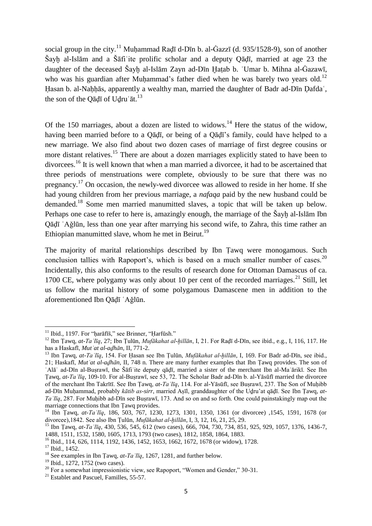social group in the city.<sup>11</sup> Muḥammad Raḍī d-Dīn b. al-Ġazzī (d. 935/1528-9), son of another Šayḫ al-Islām and a Šāfiʿite prolific scholar and a deputy Qāḍī, married at age 23 the daughter of the deceased Šayḫ al-Islām Zayn ad-Dīn Ḫaṭab b. ʿUmar b. Mihna al-Ġazawī, who was his guardian after Muḥammad's father died when he was barely two vears old.<sup>12</sup> Hasan b. al-Nahhās, apparently a wealthy man, married the daughter of Badr ad-Dīn Dafdaʿ, the son of the Qāḍī of Udruʿāt.<sup>13</sup>

Of the 150 marriages, about a dozen are listed to widows.<sup>14</sup> Here the status of the widow, having been married before to a Qāḍī, or being of a Qāḍī's family, could have helped to a new marriage. We also find about two dozen cases of marriage of first degree cousins or more distant relatives.<sup>15</sup> There are about a dozen marriages explicitly stated to have been to divorcees.<sup>16</sup> It is well known that when a man married a divorcee, it had to be ascertained that three periods of menstruations were complete, obviously to be sure that there was no pregnancy.<sup>17</sup> On occasion, the newly-wed divorcee was allowed to reside in her home. If she had young children from her previous marriage, a *nafaqa* paid by the new husband could be demanded.<sup>18</sup> Some men married manumitted slaves, a topic that will be taken up below. Perhaps one case to refer to here is, amazingly enough, the marriage of the Šayḫ al-Islām Ibn Qāḍī ʿAǧlūn, less than one year after marrying his second wife, to Zahra, this time rather an Ethiopian manumitted slave, whom he met in Beirut.<sup>19</sup>

The majority of marital relationships described by Ibn Ṭawq were monogamous. Such conclusion tallies with Rapoport's, which is based on a much smaller number of cases.<sup>20</sup> Incidentally, this also conforms to the results of research done for Ottoman Damascus of ca. 1700 CE, where polygamy was only about 10 per cent of the recorded marriages.<sup>21</sup> Still, let us follow the marital history of some polygamous Damascene men in addition to the aforementioned Ibn Qāḍī ʿAǧlūn.

<sup>&</sup>lt;sup>11</sup> Ibid., 1197. For "ḥarāfīš," see Brinner, "Ḥarfūsh."

<sup>12</sup> Ibn Ṭawq, *at-Taʿlīq*, 27; Ibn Ṭulūn, *Mufākahat al-ḫillān*, I, 21. For Raḍī d-Dīn, see ibid., e.g., I, 116, 117. He has a Haskafī, *Mutʿat al-aḏhān*, II, 771-2.

<sup>13</sup> Ibn Ṭawq, *at-Taʿlīq*, 154. For Ḥasan see Ibn Ṭulūn, *Mufākahat al-ḫillān*, I, 169. For Badr ad-Dīn, see ibid., 21; Haskafī, *Mutʿat al-aḏhān*, II, 748 n. There are many further examples that Ibn Ṭawq provides. The son of ʿAlāʾ ad-Dīn al-Buṣrawī, the Šāfiʿite deputy qāḍī, married a sister of the merchant Ibn al-Maʿārikī. See Ibn Ṭawq, *at-Taʿlīq*, 109-10. For al-Buṣrawī, see 53, 72. The Scholar Badr ad-Dīn b. al-Yāsūfī married the divorcee of the merchant Ibn Takrītī. See Ibn Ṭawq, *at-Taʿlīq*, 114. For al-Yāsūfī, see Buṣrawī, 237. The Son of Muḥibb ad-Dīn Muḥammad, probably *kātib as-sirr*, married Aṣīl, granddaughter of the Uḏru'at qāḍī. See Ibn Ṭawq, *at-Ta*<sup>*lIq*</sup>, 287. For Muhibb ad-Dīn see Busrawī, 173. And so on and so forth. One could painstakingly map out the marriage connections that Ibn Ṭawq provides.

<sup>14</sup> Ibn Ṭawq, *at-Taʿlīq*, 186, 503, 767, 1230, 1273, 1301, 1350, 1361 (or divorcee) ,1545, 1591, 1678 (or divorcee),1842. See also Ibn Ṭulūn, *Mufākahat al-ḫillān*, I, 3, 12, 16, 21, 25, 29.

<sup>15</sup> Ibn Ṭawq, *at-Taʿlīq*, 430, 536, 545, 612 (two cases), 666, 704, 730, 734, 851, 925, 929, 1057, 1376, 1436-7, 1488, 1511, 1532, 1580, 1605, 1713, 1793 (two cases), 1812, 1858, 1864, 1883.

<sup>16</sup> Ibid., 114, 626, 1114, 1192, 1436, 1452, 1653, 1662, 1672, 1678 (or widow), 1728.

<sup>&</sup>lt;sup>17</sup> Ibid., 1452.

<sup>18</sup> See examples in Ibn Ṭawq, *at-Taʿlīq*, 1267, 1281, and further below.

<sup>&</sup>lt;sup>19</sup> Ibid., 1272, 1752 (two cases).

 $20$  For a somewhat impressionistic view, see Rapoport, "Women and Gender," 30-31.

 $21$  Establet and Pascuel, Familles, 55-57.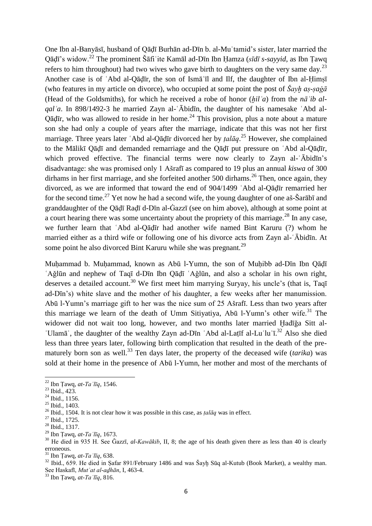One Ibn al-Banyāsī, husband of Qāḍī Burhān ad-Dīn b. al-Muʿtamid's sister, later married the Qāḍī's widow.<sup>22</sup> The prominent Šāfiʿite Kamāl ad-Dīn Ibn Ḥamza (*sīdī s-sayyid*, as Ibn Ṭawq refers to him throughout) had two wives who gave birth to daughters on the very same day.<sup>23</sup> Another case is of ʿAbd al-Qāḍīr, the son of Ismāʿīl and Ilf, the daughter of Ibn al-Ḥimṣī (who features in my article on divorce), who occupied at some point the post of *Šayḫ aṣ-ṣaġā* (Head of the Goldsmiths), for which he received a robe of honor (*ḫilʿa*) from the *nāʾib alqalʿa*. In 898/1492-3 he married Zayn al-ʿĀbidīn, the daughter of his namesake ʿAbd al-Qādīr, who was allowed to reside in her home.<sup>24</sup> This provision, plus a note about a mature son she had only a couple of years after the marriage, indicate that this was not her first marriage. Three years later ʿAbd al-Qāḍīr divorced her by *ṭalāq*. <sup>25</sup> However, she complained to the Mālikī Qāḍī and demanded remarriage and the Qāḍī put pressure on ʿAbd al-Qāḍīr, which proved effective. The financial terms were now clearly to Zayn al-'Ābidīn's disadvantage: she was promised only 1 Ašrafī as compared to 19 plus an annual *kiswa* of 300 dirhams in her first marriage, and she forfeited another 500 dirhams.<sup>26</sup> Then, once again, they divorced, as we are informed that toward the end of 904/1499 ʿAbd al-Qāḍīr remarried her for the second time.<sup>27</sup> Yet now he had a second wife, the young daughter of one aš-Šarābī and granddaughter of the Qāḍī Raḍī d-Dīn al-Ġazzī (see on him above), although at some point at a court hearing there was some uncertainty about the propriety of this marriage.<sup>28</sup> In any case, we further learn that ʿAbd al-Qāḍīr had another wife named Bint Karuru (?) whom he married either as a third wife or following one of his divorce acts from Zayn al-ʿĀbidīn. At some point he also divorced Bint Karuru while she was pregnant.<sup>29</sup>

Muḥammad b. Muḥammad, known as Abū l-Yumn, the son of Muḥibb ad-Dīn Ibn Qāḍī ʿAǧlūn and nephew of Taqī d-Dīn Ibn Qāḍī ʿAǧlūn, and also a scholar in his own right, deserves a detailed account.<sup>30</sup> We first meet him marrying Suryay, his uncle's (that is, Taqī ad-Dīn's) white slave and the mother of his daughter, a few weeks after her manumission. Abū l-Yumn's marriage gift to her was the nice sum of 25 Ašrafī. Less than two years after this marriage we learn of the death of Umm Sitiyatiya, Abū l-Yumn's other wife.<sup>31</sup> The widower did not wait too long, however, and two months later married Hadīğa Sitt al-'Ulamā', the daughter of the wealthy Zayn ad-Dīn 'Abd al-Laṭīf al-Lu'lu'ī.<sup>32</sup> Also she died less than three years later, following birth complication that resulted in the death of the prematurely born son as well.<sup>33</sup> Ten days later, the property of the deceased wife *(tarika)* was sold at their home in the presence of Abū l-Yumn, her mother and most of the merchants of

 $33$  Ibn Tawq, *at-Ta*  $l\bar{q}$ , 816.

<sup>-</sup> $^{22}$  Ibn Țawq, *at-Ta* '*līq*, 1546.

<sup>23</sup> Ibid., 423.

<sup>24</sup> Ibid., 1156.

<sup>25</sup> Ibid., 1403.

<sup>26</sup> Ibid., 1504. It is not clear how it was possible in this case, as *ṭalāq* was in effect.

<sup>27</sup> Ibid., 1725.

<sup>28</sup> Ibid., 1317.

<sup>29</sup> Ibn Ṭawq, *at-Taʿlīq*, 1673.

<sup>&</sup>lt;sup>30</sup> He died in 935 H. See Ğazzī, *al-Kawākib*, II, 8; the age of his death given there as less than 40 is clearly erroneous.

<sup>31</sup> Ibn Ṭawq, *at-Taʿlīq*, 638.

<sup>&</sup>lt;sup>32</sup> Ibid., 659. He died in Safar 891/February 1486 and was Šayḫ Sūq al-Kutub (Book Market), a wealthy man. See Haskafī, *Mutʿat al-aḏhān*, I, 463-4.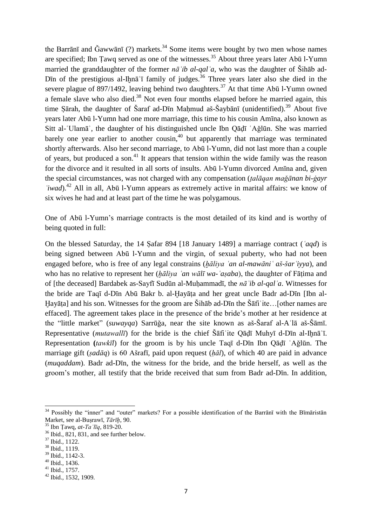the Barrānī and Ğawwānī  $(?)$  markets.<sup>34</sup> Some items were bought by two men whose names are specified; Ibn Ţawq served as one of the witnesses.<sup>35</sup> About three years later Abū l-Yumn married the granddaughter of the former *nāʾib al-qalʿa*, who was the daughter of Šihāb ad-D<sub>In</sub> of the prestigious al-Ihna<sup> $\tau$ </sup> family of judges.<sup>36</sup> Three years later also she died in the severe plague of 897/1492, leaving behind two daughters.<sup>37</sup> At that time Abū l-Yumn owned a female slave who also died.<sup>38</sup> Not even four months elapsed before he married again, this time Şārah, the daughter of Šaraf ad-Dīn Maḥmud aš-Šaybānī (unidentified).<sup>39</sup> About five years later Abū l-Yumn had one more marriage, this time to his cousin Amīna, also known as Sitt al-ʿUlamāʾ, the daughter of his distinguished uncle Ibn Qāḍī ʿAǧlūn. She was married barely one year earlier to another cousin,  $40$  but apparently that marriage was terminated shortly afterwards. Also her second marriage, to Abū l-Yumn, did not last more than a couple of years, but produced a son.<sup>41</sup> It appears that tension within the wide family was the reason for the divorce and it resulted in all sorts of insults. Abū l-Yumn divorced Amīna and, given the special circumstances, was not charged with any compensation (*ṭalāqan maǧānan bi-ġayr ʿiwad*).<sup>42</sup> All in all, Abū l-Yumn appears as extremely active in marital affairs: we know of six wives he had and at least part of the time he was polygamous.

One of Abū l-Yumn's marriage contracts is the most detailed of its kind and is worthy of being quoted in full:

On the blessed Saturday, the 14 Ṣafar 894 [18 January 1489] a marriage contract (*ʿaqd*) is being signed between Abū l-Yumn and the virgin, of sexual puberty, who had not been engaged before, who is free of any legal constrains (*ḫāliya ʿan al-mawāniʿ aš-šarʿiyya*), and who has no relative to represent her (*ḫāliya ʿan wālī wa-ʿaṣaba*), the daughter of Fāṭima and of [the deceased] Bardabek as-Sayfī Sudūn al-Muḥammadī, the *nāʾib al-qalʿa*. Witnesses for the bride are Taqī d-Dīn Abū Bakr b. al-Ḫayāṭa and her great uncle Badr ad-Dīn [Ibn al-Ḫayāṭa] and his son. Witnesses for the groom are Šihāb ad-Dīn the Šāfiʿite…[other names are effaced]. The agreement takes place in the presence of the bride's mother at her residence at the "little market" (*suwayqa*) Sarrūǧa, near the site known as aš-Šaraf al-Aʿlā aš-Šāmī. Representative (*mutawallī*) for the bride is the chief Šāfi te Qāḍī Muhyī d-Dīn al-Iḥnā<sup>'</sup>ī. Representation **(***tawkīl*) for the groom is by his uncle Taqī d-Dīn Ibn Qāḍī ʿAǧlūn. The marriage gift (*ṣadāq*) is 60 Ašrafī, paid upon request (*ḥāl*), of which 40 are paid in advance (*muqaddam*). Badr ad-Dīn, the witness for the bride, and the bride herself, as well as the groom's mother, all testify that the bride received that sum from Badr ad-Dīn. In addition,

<sup>&</sup>lt;sup>34</sup> Possibly the "inner" and "outer" markets? For a possible identification of the Barrānī with the Bīmāristān Market, see al-Buṣrawī, *Tārīḫ*, 90.

<sup>35</sup> Ibn Ṭawq, *at-Taʿlīq*, 819-20.

<sup>&</sup>lt;sup>36</sup> Ibid., 821, 831, and see further below.

<sup>37</sup> Ibid., 1122.

<sup>38</sup> Ibid., 1119.

<sup>39</sup> Ibid., 1142-3.

<sup>40</sup> Ibid., 1436.

<sup>41</sup> Ibid., 1757.

<sup>42</sup> Ibid., 1532, 1909.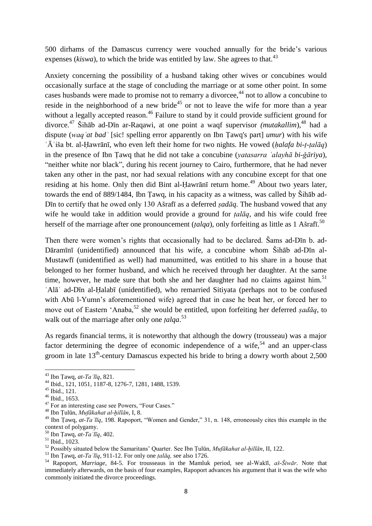500 dirhams of the Damascus currency were vouched annually for the bride's various expenses ( $kiswa$ ), to which the bride was entitled by law. She agrees to that.<sup>43</sup>

Anxiety concerning the possibility of a husband taking other wives or concubines would occasionally surface at the stage of concluding the marriage or at some other point. In some cases husbands were made to promise not to remarry a divorcee,<sup>44</sup> not to allow a concubine to reside in the neighborhood of a new bride<sup>45</sup> or not to leave the wife for more than a year without a legally accepted reason.<sup>46</sup> Failure to stand by it could provide sufficient ground for divorce.<sup>47</sup> Šihāb ad-Dīn ar-Raqawi, at one point a waqf supervisor *(mutakallim*),<sup>48</sup> had a dispute (*waqʿat badʾ* [sic! spelling error apparently on Ibn Ṭawq's part] *umur*) with his wife ʿĀʾiša bt. al-Ḥawrānī, who even left their home for two nights. He vowed (*ḥalafa bi-ṭ-ṭalāq*) in the presence of Ibn Ṭawq that he did not take a concubine (*yatasarra ʿalayhā bi-ǧāriya*), "neither white nor black", during his recent journey to Cairo, furthermore, that he had never taken any other in the past, nor had sexual relations with any concubine except for that one residing at his home. Only then did Bint al-Hawrānī return home.<sup>49</sup> About two years later, towards the end of 889/1484, Ibn Ṭawq, in his capacity as a witness, was called by Šihāb ad-Dīn to certify that he owed only 130 Ašrafī as a deferred *ṣadāq*. The husband vowed that any wife he would take in addition would provide a ground for *ṭalāq*, and his wife could free herself of the marriage after one pronouncement (*ṭalqa*), only forfeiting as little as 1 Ašrafī. 50

Then there were women's rights that occasionally had to be declared. Šams ad-Dīn b. ad-Dāramīnī (unidentified) announced that his wife, a concubine whom Šihāb ad-Dīn al-Mustawfī (unidentified as well) had manumitted, was entitled to his share in a house that belonged to her former husband, and which he received through her daughter. At the same time, however, he made sure that both she and her daughter had no claims against him.<sup>51</sup> ʿAlāʾ ad-Dīn al-Ḥalabī (unidentified), who remarried Sitiyata (perhaps not to be confused with Abū l-Yumn's aforementioned wife) agreed that in case he beat her, or forced her to move out of Eastern 'Anaba,<sup>52</sup> she would be entitled, upon forfeiting her deferred *sadāq*, to walk out of the marriage after only one *ṭalqa*. 53

As regards financial terms, it is noteworthy that although the dowry (trousseau) was a major factor determining the degree of economic independence of a wife,<sup>54</sup> and an upper-class groom in late  $13<sup>th</sup>$ -century Damascus expected his bride to bring a dowry worth about 2,500

<sup>43</sup> Ibn Ṭawq, *at-Taʿlīq*, 821.

<sup>44</sup> Ibid., 121, 1051, 1187-8, 1276-7, 1281, 1488, 1539.

<sup>45</sup> Ibid., 121.

<sup>46</sup> Ibid., 1653.

<sup>47</sup> For an interesting case see Powers, "Four Cases."

<sup>48</sup> Ibn Ṭulūn, *Mufākahat al-ḫillān*, I, 8.

<sup>49</sup> Ibn Ṭawq, *at-Taʿlīq*, 198. Rapoport, "Women and Gender," 31, n. 148, erroneously cites this example in the context of polygamy.

<sup>50</sup> Ibn Ṭawq, *at-Taʿlīq*, 402.

<sup>51</sup> Ibid., 1023.

<sup>52</sup> Possibly situated below the Samaritans' Quarter. See Ibn Ṭulūn, *Mufākahat al-ḫillān*, II, 122.

<sup>53</sup> Ibn Ṭawq, *at-Taʿlīq*, 911-12. For only one *ṭalāq,* see also 1726.

<sup>54</sup> Rapoport, *Marriage*, 84-5. For trousseaus in the Mamluk period, see al-Wakīl, *aš-Šiwār*. Note that immediately afterwards, on the basis of four examples, Rapoport advances his argument that it was the wife who commonly initiated the divorce proceedings.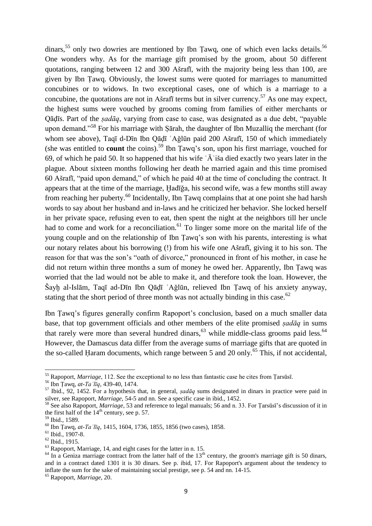dinars,<sup>55</sup> only two dowries are mentioned by Ibn Tawq, one of which even lacks details.<sup>56</sup> One wonders why. As for the marriage gift promised by the groom, about 50 different quotations, ranging between 12 and 300 Ašrafī, with the majority being less than 100, are given by Ibn Ṭawq. Obviously, the lowest sums were quoted for marriages to manumitted concubines or to widows. In two exceptional cases, one of which is a marriage to a concubine, the quotations are not in Ašrafī terms but in silver currency.<sup>57</sup> As one may expect, the highest sums were vouched by grooms coming from families of either merchants or Qāḍīs. Part of the *ṣadāq*, varying from case to case, was designated as a due debt, "payable upon demand."<sup>58</sup> For his marriage with Sarah, the daughter of Ibn Muzalliq the merchant (for whom see above), Taqī d-Dīn Ibn Qāḍī ʿAǧlūn paid 200 Ašrafī, 150 of which immediately (she was entitled to **count** the coins).<sup>59</sup> Ibn Ṭawq's son, upon his first marriage, vouched for 69, of which he paid 50. It so happened that his wife  $\hat{A}$  is a died exactly two years later in the plague. About sixteen months following her death he married again and this time promised 60 Ašrafī, "paid upon demand," of which he paid 40 at the time of concluding the contract. It appears that at the time of the marriage, Ḫadīǧa, his second wife, was a few months still away from reaching her puberty.<sup>60</sup> Incidentally, Ibn Tawq complains that at one point she had harsh words to say about her husband and in-laws and he criticized her behavior. She locked herself in her private space, refusing even to eat, then spent the night at the neighbors till her uncle had to come and work for a reconciliation.<sup>61</sup> To linger some more on the marital life of the young couple and on the relationship of Ibn Ṭawq's son with his parents, interesting is what our notary relates about his borrowing (!) from his wife one Ašrafī, giving it to his son. The reason for that was the son's "oath of divorce," pronounced in front of his mother, in case he did not return within three months a sum of money he owed her. Apparently, Ibn Ṭawq was worried that the lad would not be able to make it, and therefore took the loan. However, the Šayḫ al-Islām, Taqī ad-Dīn Ibn Qāḍī ʿAǧlūn, relieved Ibn Ṭawq of his anxiety anyway, stating that the short period of three month was not actually binding in this case.<sup>62</sup>

Ibn Ṭawq's figures generally confirm Rapoport's conclusion, based on a much smaller data base, that top government officials and other members of the elite promised *ṣadāq* in sums that rarely were more than several hundred dinars,<sup>63</sup> while middle-class grooms paid less.<sup>64</sup> However, the Damascus data differ from the average sums of marriage gifts that are quoted in the so-called Haram documents, which range between 5 and 20 only.<sup>65</sup> This, if not accidental,

<sup>55</sup> Rapoport, *Marriage*, 112. See the exceptional to no less than fantastic case he cites from Ṭarsūsī.

<sup>56</sup> Ibn Ṭawq, *at-Taʿlīq*, 439-40, 1474.

<sup>57</sup> Ibid., 92, 1452. For a hypothesis that, in general, *ṣadāq* sums designated in dinars in practice were paid in silver, see Rapoport, *Marriage*, 54-5 and nn. See a specific case in ibid., 1452.

<sup>58</sup> See also Rapoport, *Marriage*, 53 and reference to legal manuals; 56 and n. 33. For Ṭarsūsī's discussion of it in the first half of the  $14<sup>th</sup>$  century, see p. 57.

<sup>59</sup> Ibid., 1589.

<sup>60</sup> Ibn Ṭawq, *at-Taʿlīq*, 1415, 1604, 1736, 1855, 1856 (two cases), 1858.

<sup>61</sup> Ibid., 1907-8.

<sup>62</sup> Ibid., 1915.

 $<sup>63</sup>$  Rapoport, Marriage, 14, and eight cases for the latter in n. 15.</sup>

 $64$  In a Geniza marriage contract from the latter half of the 13<sup>th</sup> century, the groom's marriage gift is 50 dinars, and in a contract dated 1301 it is 30 dinars. See p. ibid, 17. For Rapoport's argument about the tendency to inflate the sum for the sake of maintaining social prestige, see p. 54 and nn. 14-15.

<sup>65</sup> Rapoport, *Marriage*, 20.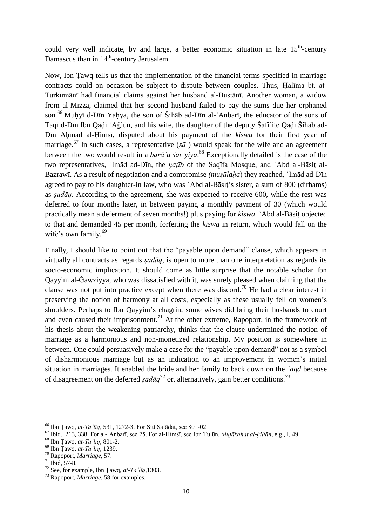could very well indicate, by and large, a better economic situation in late  $15<sup>th</sup>$ -century Damascus than in 14<sup>th</sup>-century Jerusalem.

Now, Ibn Ṭawq tells us that the implementation of the financial terms specified in marriage contracts could on occasion be subject to dispute between couples. Thus, Ḥalīma bt. at-Turkumānī had financial claims against her husband al-Bustānī. Another woman, a widow from al-Mizza, claimed that her second husband failed to pay the sums due her orphaned son.<sup>66</sup> Muhyī d-Dīn Yahya, the son of Šihāb ad-Dīn al-`Anbarī, the educator of the sons of Taqī d-Dīn Ibn Qāḍī ʿAǧlūn, and his wife, the daughter of the deputy Šāfiʿite Qāḍī Šihāb ad-Dīn Ahmad al-Himsī, disputed about his payment of the *kiswa* for their first year of marriage.<sup>67</sup> In such cases, a representative ( $s\bar{a}$ ) would speak for the wife and an agreement between the two would result in a *barāʾa šarʿyiya*. <sup>68</sup> Exceptionally detailed is the case of the two representatives, ʿImād ad-Dīn, the *ḫaṭīb* of the Saqīfa Mosque, and ʿAbd al-Bāsiṭ al-Bazrawī. As a result of negotiation and a compromise *(muṣālaḥa*) they reached, ʿImād ad-Dīn agreed to pay to his daughter-in law, who was ʿAbd al-Bāsiṭ's sister, a sum of 800 (dirhams) as *ṣadāq*. According to the agreement, she was expected to receive 600, while the rest was deferred to four months later, in between paying a monthly payment of 30 (which would practically mean a deferment of seven months!) plus paying for *kiswa*. ʿAbd al-Bāsiṭ objected to that and demanded 45 per month, forfeiting the *kiswa* in return, which would fall on the wife's own family.<sup>69</sup>

Finally, I should like to point out that the "payable upon demand" clause, which appears in virtually all contracts as regards *ṣadāq*, is open to more than one interpretation as regards its socio-economic implication. It should come as little surprise that the notable scholar Ibn Qayyim al-Ǧawziyya, who was dissatisfied with it, was surely pleased when claiming that the clause was not put into practice except when there was discord.<sup>70</sup> He had a clear interest in preserving the notion of harmony at all costs, especially as these usually fell on women's shoulders. Perhaps to Ibn Qayyim's chagrin, some wives did bring their husbands to court and even caused their imprisonment.<sup>71</sup> At the other extreme, Rapoport, in the framework of his thesis about the weakening patriarchy, thinks that the clause undermined the notion of marriage as a harmonious and non-monetized relationship. My position is somewhere in between. One could persuasively make a case for the "payable upon demand" not as a symbol of disharmonious marriage but as an indication to an improvement in women's initial situation in marriages. It enabled the bride and her family to back down on the *ʿaqd* because of disagreement on the deferred *sad* $\bar{a}q^{72}$  or, alternatively, gain better conditions.<sup>73</sup>

<sup>66</sup> Ibn Ṭawq, *at-Taʿlīq*, 531, 1272-3. For Sitt Saʿādat, see 801-02.

<sup>67</sup> Ibid., 213, 338. For al-ʿAnbarī, see 25. For al-Ḥimṣī, see Ibn Ṭulūn, *Mufākahat al-ḫillān*, e.g., I, 49.

<sup>68</sup> Ibn Ṭawq, *at-Taʿlīq*, 801-2.

<sup>69</sup> Ibn Ṭawq, *at-Taʿlīq*, 1239.

<sup>70</sup> Rapoport, *Marriage*, 57.

<sup>71</sup> Ibid, 57-8.

<sup>72</sup> See, for example, Ibn Ṭawq, *at-Taʿlīq*,1303.

<sup>73</sup> Rapoport, *Marriage*, 58 for examples.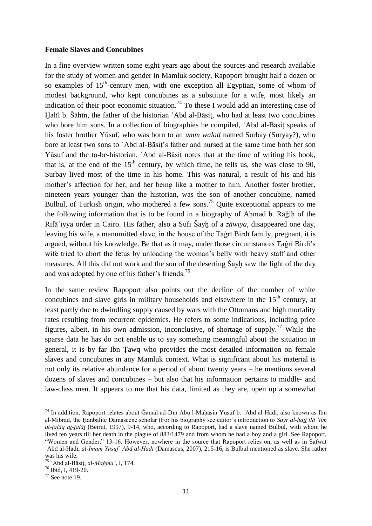#### **Female Slaves and Concubines**

In a fine overview written some eight years ago about the sources and research available for the study of women and gender in Mamluk society, Rapoport brought half a dozen or so examples of 15<sup>th</sup>-century men, with one exception all Egyptian, some of whom of modest background, who kept concubines as a substitute for a wife, most likely an indication of their poor economic situation.<sup>74</sup> To these I would add an interesting case of Ḫalīl b. Šāhīn, the father of the historian ʿAbd al-Bāsiṭ, who had at least two concubines who bore him sons. In a collection of biographies he compiled, 'Abd al-Bāsiṭ speaks of his foster brother Yūsuf, who was born to an *umm walad* named Surbay (Suryay?), who bore at least two sons to ʿAbd al-Bāsiṭ's father and nursed at the same time both her son Yūsuf and the to-be-historian. ʿAbd al-Bāsiṭ notes that at the time of writing his book, that is, at the end of the  $15<sup>th</sup>$  century, by which time, he tells us, she was close to 90, Surbay lived most of the time in his home. This was natural, a result of his and his mother's affection for her, and her being like a mother to him. Another foster brother, nineteen years younger than the historian, was the son of another concubine, named Bulbul, of Turkish origin, who mothered a few sons.<sup>75</sup> Quite exceptional appears to me the following information that is to be found in a biography of Aḥmad b. Rāǧiḥ of the Rifāʿiyya order in Cairo. His father, also a Sufi Šayḫ of a *zāwiya*, disappeared one day, leaving his wife, a manumitted slave, in the house of the Taġrī Birdī family, pregnant, it is argued, without his knowledge. Be that as it may, under those circumstances Taġrī Birdī's wife tried to abort the fetus by unloading the woman's belly with heavy staff and other measures. All this did not work and the son of the deserting Sayh saw the light of the day and was adopted by one of his father's friends.<sup>76</sup>

In the same review Rapoport also points out the decline of the number of white concubines and slave girls in military households and elsewhere in the  $15<sup>th</sup>$  century, at least partly due to dwindling supply caused by wars with the Ottomans and high mortality rates resulting from recurrent epidemics. He refers to some indications, including price figures, albeit, in his own admission, inconclusive, of shortage of supply.<sup>77</sup> While the sparse data he has do not enable us to say something meaningful about the situation in general, it is by far Ibn Ṭawq who provides the most detailed information on female slaves and concubines in any Mamluk context. What is significant about his material is not only its relative abundance for a period of about twenty years – he mentions several dozens of slaves and concubines – but also that his information pertains to middle- and law-class men. It appears to me that his data, limited as they are, open up a somewhat

<sup>&</sup>lt;sup>74</sup> In addition, Rapoport relates about Ğamāl ad-Dīn Abū l-Maḥāsin Yusūf b. ʿAbd al-Hādī, also known as Ibn al-Mibrad, the Ḥanbalite Damascene scholar (For his biography see editor's introduction to *Sayr al-ḥaṯṯ ilā ʿilm at-ṭalāq aṯ-ṯalāṯ* (Beirut, 1997), 9-14, who, according to Rapoport, had a slave named Bulbul, with whom he lived ten years till her death in the plague of 883/1479 and from whom he had a boy and a girl. See Rapoport, "Women and Gender," 13-16. However, nowhere in the source that Rapoport relies on, as well as in Ṣafwat ʿAbd al-Hādī, *al-Imam Yūsuf ʿAbd al-Hādī* (Damascus, 2007), 215-16, is Bulbul mentioned as slave. She rather was his wife.

<sup>75</sup> ʿAbd al-Bāsiṭ, *al-Maǧmaʿ*, I, 174.

<sup>76</sup> Ibid, I, 419-20.

 $77$  See note 19.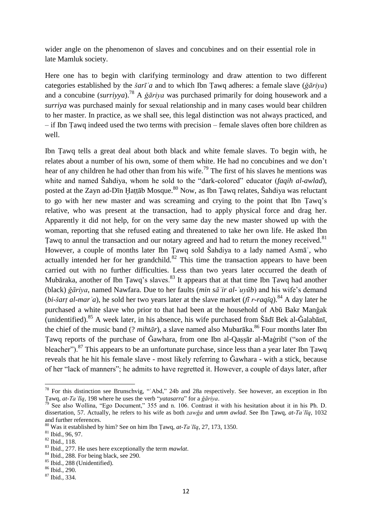wider angle on the phenomenon of slaves and concubines and on their essential role in late Mamluk society.

Here one has to begin with clarifying terminology and draw attention to two different categories established by the *šarīʿa* and to which Ibn Ṭawq adheres: a female slave (*ǧāriya*) and a concubine (*surriyya*).<sup>78</sup> A *ǧāriya* was purchased primarily for doing housework and a *surriya* was purchased mainly for sexual relationship and in many cases would bear children to her master. In practice, as we shall see, this legal distinction was not always practiced, and – if Ibn Ṭawq indeed used the two terms with precision – female slaves often bore children as well.

Ibn Ṭawq tells a great deal about both black and white female slaves. To begin with, he relates about a number of his own, some of them white. He had no concubines and we don't hear of any children he had other than from his wife.<sup>79</sup> The first of his slaves he mentions was white and named Šahdiya, whom he sold to the "dark-colored" educator *(faqih al-awlad)*, posted at the Zayn ad-Dīn Hattāb Mosque.<sup>80</sup> Now, as Ibn Tawq relates, Šahdiya was reluctant to go with her new master and was screaming and crying to the point that Ibn Ṭawq's relative, who was present at the transaction, had to apply physical force and drag her. Apparently it did not help, for on the very same day the new master showed up with the woman, reporting that she refused eating and threatened to take her own life. He asked Ibn Tawq to annul the transaction and our notary agreed and had to return the money received.<sup>81</sup> However, a couple of months later Ibn Ṭawq sold Šahdiya to a lady named Asmāʾ, who actually intended her for her grandchild.<sup>82</sup> This time the transaction appears to have been carried out with no further difficulties. Less than two years later occurred the death of Mubāraka, another of Ibn Tawq's slaves.<sup>83</sup> It appears that at that time Ibn Tawq had another (black) *ǧāriya*, named Nawfara. Due to her faults (*min sāʾir al-ʿuyūb*) and his wife's demand (*bi-šart al-mar*<sup>'</sup>a), he sold her two years later at the slave market (*fī r-raqīq*).<sup>84</sup> A day later he purchased a white slave who prior to that had been at the household of Abū Bakr Manǧak (unidentified).<sup>85</sup> A week later, in his absence, his wife purchased from Šādī Bek al-Ğalabānī, the chief of the music band (? *mihtār*), a slave named also Mubarāka.<sup>86</sup> Four months later Ibn Tawq reports of the purchase of Gawhara, from one Ibn al-Qassar al-Magribi ("son of the bleacher").<sup>87</sup> This appears to be an unfortunate purchase, since less than a year later Ibn Tawq reveals that he hit his female slave - most likely referring to Gawhara - with a stick, because of her "lack of manners"; he admits to have regretted it. However, a couple of days later, after

 $78$  For this distinction see Brunschvig, "Abd," 24b and 28a respectively. See however, an exception in Ibn Ṭawq, *at-Taʿlīq*, 198 where he uses the verb "*yatasarra*" for a *ǧāriya*.

 $79$  See also Wollina, "Ego Document," 355 and n. 106. Contrast it with his hesitation about it in his Ph. D. dissertation, 57. Actually, he refers to his wife as both *zawǧa* and *umm awlad*. See Ibn Ṭawq, *at-Taʿlīq*, 1032 and further references.

<sup>80</sup> Was it established by him? See on him Ibn Ṭawq, *at-Taʿlīq*, 27, 173, 1350.

<sup>81</sup> Ibid., 96, 97.

<sup>82</sup> Ibid., 118.

<sup>83</sup> Ibid., 277. He uses here exceptionally the term *mawlat*.

<sup>&</sup>lt;sup>84</sup> Ibid., 288. For being black, see 290.

<sup>85</sup> Ibid., 288 (Unidentified).

 $86$  Ibid., 290.

<sup>87</sup> Ibid., 334.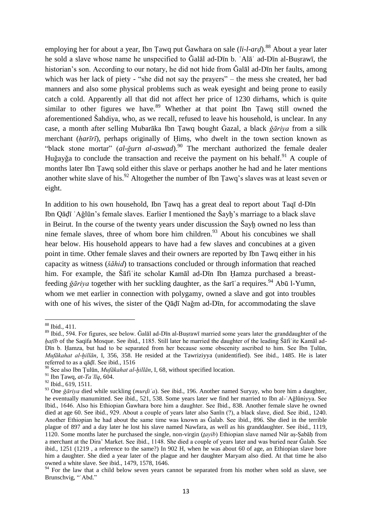employing her for about a year, Ibn Tawq put Ğawhara on sale (*li-l-ard*).<sup>88</sup> About a year later he sold a slave whose name he unspecified to Ǧalāl ad-Dīn b. ʿAlāʾ ad-Dīn al-Buṣrawī, the historian's son. According to our notary, he did not hide from Galal ad-Din her faults, among which was her lack of piety - "she did not say the prayers" – the mess she created, her bad manners and also some physical problems such as weak eyesight and being prone to easily catch a cold. Apparently all that did not affect her price of 1230 dirhams, which is quite similar to other figures we have.<sup>89</sup> Whether at that point Ibn Tawq still owned the aforementioned Šahdiya, who, as we recall, refused to leave his household, is unclear. In any case, a month after selling Mubarāka Ibn Ṭawq bought Ġazal, a black *ǧāriya* from a silk merchant (*ḥarīrī*), perhaps originally of Ḥimṣ, who dwelt in the town section known as "black stone mortar" *(al-ğurn al-aswad)*.<sup>90</sup> The merchant authorized the female dealer Huğayğa to conclude the transaction and receive the payment on his behalf.<sup>91</sup> A couple of months later Ibn Ṭawq sold either this slave or perhaps another he had and he later mentions another white slave of his.<sup>92</sup> Altogether the number of Ibn Tawq's slaves was at least seven or eight.

In addition to his own household, Ibn Ṭawq has a great deal to report about Taqī d-Dīn Ibn Qāḍī ʿAǧlūn's female slaves. Earlier I mentioned the Šayḫ's marriage to a black slave in Beirut. In the course of the twenty years under discussion the Šayḫ owned no less than nine female slaves, three of whom bore him children. $93$  About his concubines we shall hear below. His household appears to have had a few slaves and concubines at a given point in time. Other female slaves and their owners are reported by Ibn Ṭawq either in his capacity as witness (*šāhid*) to transactions concluded or through information that reached him. For example, the Šāfi ite scholar Kamāl ad-Dīn Ibn Ḥamza purchased a breastfeeding *ǧāriya* together with her suckling daughter, as the šarī a requires.<sup>94</sup> Abū l-Yumn, whom we met earlier in connection with polygamy, owned a slave and got into troubles with one of his wives, the sister of the Qāḍī Naǧm ad-Dīn, for accommodating the slave

<sup>88</sup> Ibid., 411.

<sup>89</sup> Ibid., 594. For figures, see below. Ğalāl ad-Dīn al-Buṣrawī married some years later the granddaughter of the *hatīb* of the Saqifa Mosque. See ibid., 1185. Still later he married the daughter of the leading Šāfi te Kamāl ad-Dīn b. Ḥamza, but had to be separated from her because some obscenity ascribed to him. See Ibn Ṭulūn, *Mufākahat al-ḫillān*, I, 356, 358. He resided at the Tawriziyya (unidentified). See ibid., 1485. He is later referred to as a qāḍī. See ibid., 1516

<sup>90</sup> See also Ibn Ṭulūn, *Mufākahat al-ḫillān*, I, 68, without specified location.

<sup>91</sup> Ibn Ṭawq, *at-Taʿlīq*, 604.

<sup>92</sup> Ibid., 619, 1511.

<sup>93</sup> One *ǧāriya* died while suckling (*murḍiʿa*). See ibid., 196. Another named Suryay, who bore him a daughter, he eventually manumitted. See ibid., 521, 538. Some years later we find her married to Ibn al-ʿAǧlūniyya. See Ibid., 1646. Also his Ethiopian Ǧawhara bore him a daughter. See Ibid., 838. Another female slave he owned died at age 60. See ibid., 929. About a couple of years later also Sanīn (?), a black slave, died. See ibid., 1240. Another Ethiopian he had about the same time was known as Ǧalab. See ibid., 896. She died in the terrible plague of 897 and a day later he lost his slave named Nawfara, as well as his granddaughter. See ibid., 1119, 1120. Some months later he purchased the single, non-virgin (*ṯayib*) Ethiopian slave named Nūr aṣ-Ṣabāḥ from a merchant at the Dira' Market. See ibid., 1148. She died a couple of years later and was buried near Ǧalab. See ibid., 1251 (1219 , a reference to the same?) In 902 H, when he was about 60 of age, an Ethiopian slave bore him a daughter. She died a year later of the plague and her daughter Maryam also died. At that time he also owned a white slave. See ibid., 1479, 1578, 1646.

<sup>&</sup>lt;sup>94</sup> For the law that a child below seven years cannot be separated from his mother when sold as slave, see Brunschvig, "'Abd."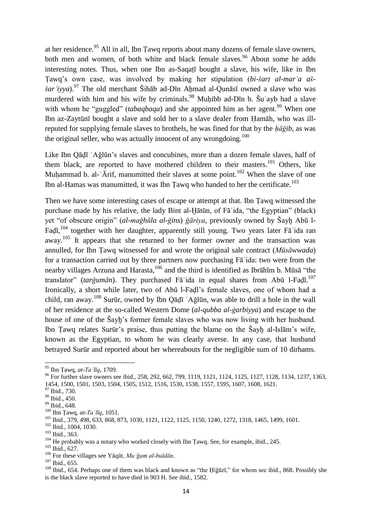at her residence.<sup>95</sup> All in all, Ibn Țawq reports about many dozens of female slave owners, both men and women, of both white and black female slaves.<sup>96</sup> About some he adds interesting notes. Thus, when one Ibn as-Saqaṭī bought a slave, his wife, like in Ibn Ṭawq's own case, was involved by making her stipulation (*bi-šarṭ al-marʾa aššar* 'iyya).<sup>97</sup> The old merchant Šihāb ad-Dīn Ahmad al-Qunāsī owned a slave who was murdered with him and his wife by criminals.<sup>98</sup> Muḥibb ad-Dīn b. Šuʿayb had a slave with whom he "guggled" *(tabaqbaqa)* and she appointed him as her agent.<sup>99</sup> When one Ibn az-Zaytūnī bought a slave and sold her to a slave dealer from Ḥamāh, who was illreputed for supplying female slaves to brothels, he was fined for that by the *ḥāǧib*, as was the original seller, who was actually innocent of any wrongdoing.<sup>100</sup>

Like Ibn Qāḍī ʿAǧlūn's slaves and concubines, more than a dozen female slaves, half of them black, are reported to have mothered children to their masters.<sup>101</sup> Others, like Muhammad b. al- $\tilde{A}$ rif, manumitted their slaves at some point.<sup>102</sup> When the slave of one Ibn al-Hamas was manumitted, it was Ibn Tawq who handed to her the certificate.<sup>103</sup>

Then we have some interesting cases of escape or attempt at that. Ibn Ṭawq witnessed the purchase made by his relative, the lady Bint al-Ḫātūn, of Fāʾida, "the Egyptian" (black) yet "of obscure origin" (*al-maǧhūla al-ǧins*) *ǧāriya*, previously owned by Šayḫ Abū l-Faḍl,<sup>104</sup> together with her daughter, apparently still young. Two years later Fā'ida ran away.<sup>105</sup> It appears that she returned to her former owner and the transaction was annulled, for Ibn Ṭawq witnessed for and wrote the original sale contract (*Mūsāwwada*) for a transaction carried out by three partners now purchasing Fāʾida: two were from the nearby villages Arzuna and Harasta, $106$  and the third is identified as Ibrāhīm b. Mūsā "the translator" (*tarǧumān*). They purchased Fāʾida in equal shares from Abū l-Faḍl. 107 Ironically, a short while later, two of Abū l-Faḍl's female slaves, one of whom had a child, ran away.<sup>108</sup> Surūr, owned by Ibn Qāḍī ʿAǧlūn, was able to drill a hole in the wall of her residence at the so-called Western Dome (*al-qubba al-ġarbiyya*) and escape to the house of one of the Sayh's former female slaves who was now living with her husband. Ibn Ṭawq relates Surūr's praise, thus putting the blame on the Šayḫ al-Islām's wife, known as the Egyptian, to whom he was clearly averse. In any case, that husband betrayed Surūr and reported about her whereabouts for the negligible sum of 10 dirhams.

<sup>95</sup> Ibn Ṭawq, *at-Taʿlīq*, 1709.

<sup>&</sup>lt;sup>96</sup> For further slave owners see ibid., 258, 292, 662, 799, 1119, 1121, 1124, 1125, 1127, 1128, 1134, 1237, 1363, 1454, 1500, 1501, 1503, 1504, 1505, 1512, 1516, 1530, 1538, 1557, 1595, 1607, 1608, 1621.

<sup>97</sup> Ibid., 730.

<sup>98</sup> Ibid., 450.

<sup>99</sup> Ibid., 648.

<sup>100</sup> Ibn Ṭawq, *at-Taʿlīq*, 1051.

<sup>101</sup> Ibid., 379, 498, 633, 868, 873, 1030, 1121, 1122, 1125, 1150, 1240, 1272, 1318, 1465, 1499, 1601.

<sup>102</sup> Ibid., 1004, 1030.

<sup>103</sup> Ibid., 363.

<sup>&</sup>lt;sup>104</sup> He probably was a notary who worked closely with Ibn Tawq. See, for example, ibid., 245.

<sup>105</sup> Ibid., 627.

<sup>106</sup> For these villages see Yāqūt, *Muʿǧam al-buldān*.

<sup>107</sup> Ibid., 655.

<sup>&</sup>lt;sup>108</sup> Ibid., 654. Perhaps one of them was black and known as "the Ḥiǧāzī," for whom see ibid., 868. Possibly she is the black slave reported to have died in 903 H. See ibid., 1582.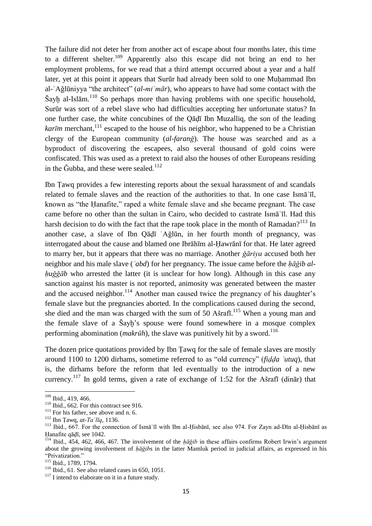The failure did not deter her from another act of escape about four months later, this time to a different shelter.<sup>109</sup> Apparently also this escape did not bring an end to her employment problems, for we read that a third attempt occurred about a year and a half later, yet at this point it appears that Surūr had already been sold to one Muhammad Ibn al-ʿAǧlūniyya "the architect" (*al-miʿmār*), who appears to have had some contact with the Šayḫ al-Islām. <sup>110</sup> So perhaps more than having problems with one specific household, Surūr was sort of a rebel slave who had difficulties accepting her unfortunate status? In one further case, the white concubines of the Qāḍī Ibn Muzalliq, the son of the leading *kar* $\bar{u}$  merchant,<sup>111</sup> escaped to the house of his neighbor, who happened to be a Christian clergy of the European community (*al-faranǧ*). The house was searched and as a byproduct of discovering the escapees, also several thousand of gold coins were confiscated. This was used as a pretext to raid also the houses of other Europeans residing in the Ğubba, and these were sealed.<sup>112</sup>

Ibn Ṭawq provides a few interesting reports about the sexual harassment of and scandals related to female slaves and the reaction of the authorities to that. In one case Ismāʿīl, known as "the Ḥanafite," raped a white female slave and she became pregnant. The case came before no other than the sultan in Cairo, who decided to castrate Ismāʿīl. Had this harsh decision to do with the fact that the rape took place in the month of Ramadan?<sup>113</sup> In another case, a slave of Ibn Qāḍī ʿAǧlūn, in her fourth month of pregnancy, was interrogated about the cause and blamed one Ibrāhīm al-Ḥawrānī for that. He later agreed to marry her, but it appears that there was no marriage. Another *ǧāriya* accused both her neighbor and his male slave (*ʿabd*) for her pregnancy. The issue came before the *ḥāǧib alḥuǧǧāb* who arrested the latter (it is unclear for how long). Although in this case any sanction against his master is not reported, animosity was generated between the master and the accused neighbor.<sup>114</sup> Another man caused twice the pregnancy of his daughter's female slave but the pregnancies aborted. In the complications caused during the second, she died and the man was charged with the sum of 50 Ašrafi.<sup>115</sup> When a young man and the female slave of a Šayḫ's spouse were found somewhere in a mosque complex performing abomination (*makrūh*), the slave was punitively hit by a sword.<sup>116</sup>

The dozen price quotations provided by Ibn Ṭawq for the sale of female slaves are mostly around 1100 to 1200 dirhams, sometime referred to as "old currency" (*fiḍḍa ʿutuq*), that is, the dirhams before the reform that led eventually to the introduction of a new currency.<sup>117</sup> In gold terms, given a rate of exchange of 1:52 for the Ašrafi (dinār) that

<sup>&</sup>lt;sup>109</sup> Ibid., 419, 466.

 $110$  Ibid., 662. For this contract see 916.

 $111$  For his father, see above and n. 6.

<sup>112</sup> Ibn Ṭawq, *at-Taʿlīq*, 1136.

<sup>113</sup> Ibid., 667. For the connection of Ismāʿīl with Ibn al-Ḥisbānī, see also 974. For Zayn ad-Dīn al-Ḥisbānī as Ḥanafite qāḍī, see 1042.

<sup>114</sup> Ibid., 454, 462, 466, 467. The involvement of the *ḥāǧib* in these affairs confirms Robert Irwin's argument about the growing involvement of *ḥāǧib*s in the latter Mamluk period in judicial affairs, as expressed in his "Privatization."

<sup>115</sup> Ibid., 1789, 1794.

 $116$  Ibid., 61. See also related cases in 650, 1051.

 $117$  I intend to elaborate on it in a future study.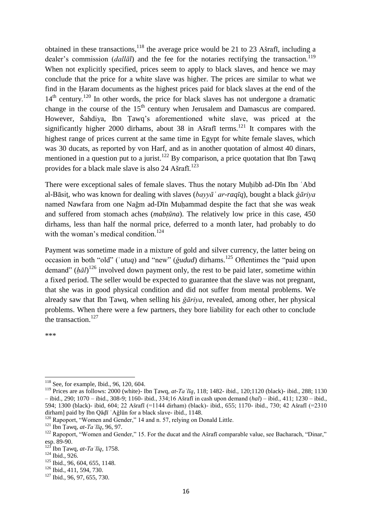obtained in these transactions,<sup>118</sup> the average price would be 21 to 23 Ašrafī, including a dealer's commission *(dallal)* and the fee for the notaries rectifying the transaction.<sup>119</sup> When not explicitly specified, prices seem to apply to black slaves, and hence we may conclude that the price for a white slave was higher. The prices are similar to what we find in the Ḥaram documents as the highest prices paid for black slaves at the end of the  $14<sup>th</sup>$  century.<sup>120</sup> In other words, the price for black slaves has not undergone a dramatic change in the course of the  $15<sup>th</sup>$  century when Jerusalem and Damascus are compared. However, Šahdiya, Ibn Ṭawq's aforementioned white slave, was priced at the significantly higher 2000 dirhams, about 38 in Ašrafī terms.<sup>121</sup> It compares with the highest range of prices current at the same time in Egypt for white female slaves, which was 30 ducats, as reported by von Harf, and as in another quotation of almost 40 dinars, mentioned in a question put to a jurist.<sup>122</sup> By comparison, a price quotation that Ibn Tawq provides for a black male slave is also 24 Ašrafī.<sup>123</sup>

There were exceptional sales of female slaves. Thus the notary Muḥibb ad-Dīn Ibn ʿAbd al-Bāsiṭ, who was known for dealing with slaves (*bayyāʿ ar-raqīq*), bought a black *ǧāriya* named Nawfara from one Naǧm ad-Dīn Muḥammad despite the fact that she was weak and suffered from stomach aches (*mabṭūna*). The relatively low price in this case, 450 dirhams, less than half the normal price, deferred to a month later, had probably to do with the woman's medical condition.<sup>124</sup>

Payment was sometime made in a mixture of gold and silver currency, the latter being on occasion in both "old" ('*utuq*) and "new" (*ğudud*) dirhams.<sup>125</sup> Oftentimes the "paid upon demand" (*ḥāl*) <sup>126</sup> involved down payment only, the rest to be paid later, sometime within a fixed period. The seller would be expected to guarantee that the slave was not pregnant, that she was in good physical condition and did not suffer from mental problems. We already saw that Ibn Ṭawq, when selling his *ǧāriya*, revealed, among other, her physical problems. When there were a few partners, they bore liability for each other to conclude the transaction.<sup>127</sup>

\*\*\*

<sup>-</sup><sup>118</sup> See, for example, Ibid., 96, 120, 604.

<sup>119</sup> Prices are as follows: 2000 (white)- Ibn Ṭawq, *at-Taʿlīq*, 118; 1482- ibid., 120;1120 (black)- ibid., 288; 1130 – ibid., 290; 1070 – ibid., 308-9; 1160- ibid., 334;16 Ašrafī in cash upon demand (*hal*) – ibid., 411; 1230 – ibid., 594; 1300 (black)- ibid, 604; 22 Ašrafī (=1144 dirham) (black)- ibid., 655; 1170- ibid., 730; 42 Ašrafī (=2310 dirham] paid by Ibn Qāḍī ʿAǧlūn for a black slave- ibid., 1148.

<sup>&</sup>lt;sup>120</sup> Rapoport, "Women and Gender," 14 and n. 57, relying on Donald Little.

<sup>121</sup> Ibn Ṭawq, *at-Taʿlīq*, 96, 97.

<sup>&</sup>lt;sup>122</sup> Rapoport, "Women and Gender," 15. For the ducat and the Ašrafī comparable value, see Bacharach, "Dinar," esp. 89-90.

 $^{123}$  Ibn Țawq, *at-Ta* '*līq*, 1758.

<sup>124</sup> Ibid., 926.

<sup>&</sup>lt;sup>125</sup> Ibid., 96, 604, 655, 1148.

<sup>&</sup>lt;sup>126</sup> Ibid., 411, 594, 730.

<sup>&</sup>lt;sup>127</sup> Ibid., 96, 97, 655, 730.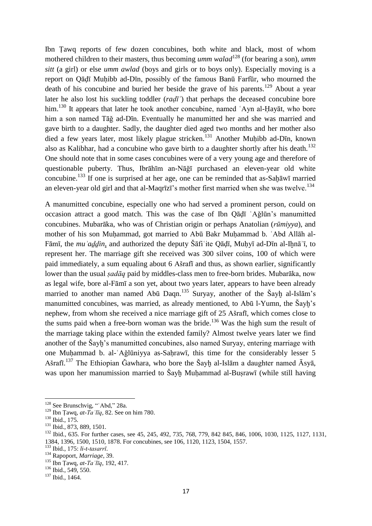Ibn Ṭawq reports of few dozen concubines, both white and black, most of whom mothered children to their masters, thus becoming *umm walad*<sup>128</sup> (for bearing a son), *umm sitt* (a girl) or else *umm awlad* (boys and girls or to boys only). Especially moving is a report on Qāḍī Muḥibb ad-Dīn, possibly of the famous Banū Farfūr, who mourned the death of his concubine and buried her beside the grave of his parents.<sup>129</sup> About a year later he also lost his suckling toddler (*raḍīʿ*) that perhaps the deceased concubine bore him.<sup>130</sup> It appears that later he took another concubine, named `Ayn al-Ḥayāt, who bore him a son named Tāǧ ad-Dīn. Eventually he manumitted her and she was married and gave birth to a daughter. Sadly, the daughter died aged two months and her mother also died a few years later, most likely plague stricken.<sup>131</sup> Another Muḥibb ad-Dīn, known also as Kalibhar, had a concubine who gave birth to a daughter shortly after his death.<sup>132</sup> One should note that in some cases concubines were of a very young age and therefore of questionable puberty. Thus, Ibrāhīm an-Nāǧī purchased an eleven-year old white concubine.<sup>133</sup> If one is surprised at her age, one can be reminded that as-Sah $\bar{a}$ wī married an eleven-year old girl and that al-Maqrīzī's mother first married when she was twelve.<sup>134</sup>

A manumitted concubine, especially one who had served a prominent person, could on occasion attract a good match. This was the case of Ibn Qāḍī ʿAǧlūn's manumitted concubines. Mubarāka, who was of Christian origin or perhaps Anatolian (*rūmiyya*), and mother of his son Muḥammad, got married to Abū Bakr Muḥammad b. ʿAbd Allāh al-Fāmī, the *muʾaḏḏin*, and authorized the deputy Šāfiʿite Qāḍī, Muḥyī ad-Dīn al-Iḫnāʾī, to represent her. The marriage gift she received was 300 silver coins, 100 of which were paid immediately, a sum equaling about 6 Ašrafī and thus, as shown earlier, significantly lower than the usual *ṣadāq* paid by middles-class men to free-born brides. Mubarāka, now as legal wife, bore al-Fāmī a son yet, about two years later, appears to have been already married to another man named Abū Daqn.<sup>135</sup> Suryay, another of the Šayḫ al-Islām's manumitted concubines, was married, as already mentioned, to Abū l-Yumn, the Šayḫ's nephew, from whom she received a nice marriage gift of 25 Ašrafī, which comes close to the sums paid when a free-born woman was the bride.<sup>136</sup> Was the high sum the result of the marriage taking place within the extended family? Almost twelve years later we find another of the Šayh's manumitted concubines, also named Suryay, entering marriage with one Muḥammad b. al-ʿAǧlūniyya as-Saḥrawī, this time for the considerably lesser 5 Ašrafī.<sup>137</sup> The Ethiopian Ğawhara, who bore the Šayḫ al-Islām a daughter named Āsyā, was upon her manumission married to Šayh Muhammad al-Busrawī (while still having

<sup>&</sup>lt;sup>128</sup> See Brunschvig, "'Abd," 28a.

<sup>&</sup>lt;sup>129</sup> Ibn Țawq,  $at-{Ta}$  *l* $\bar{t}q$ , 82. See on him 780.

<sup>130</sup> Ibid., 175.

<sup>&</sup>lt;sup>131</sup> Ibid., 873, 889, 1501.

<sup>&</sup>lt;sup>132</sup> Ibid., 635. For further cases, see 45, 245, 492, 735, 768, 779, 842 845, 846, 1006, 1030, 1125, 1127, 1131, 1384, 1396, 1500, 1510, 1878. For concubines, see 106, 1120, 1123, 1504, 1557.

<sup>133</sup> Ibid., 175: *li-t-tasarrī*.

<sup>134</sup> Rapoport, *Marriage*, 39.

<sup>135</sup> Ibn Ṭawq, *at-Taʿlīq*, 192, 417.

 $136$  Ibid., 549, 550.

<sup>137</sup> Ibid., 1464.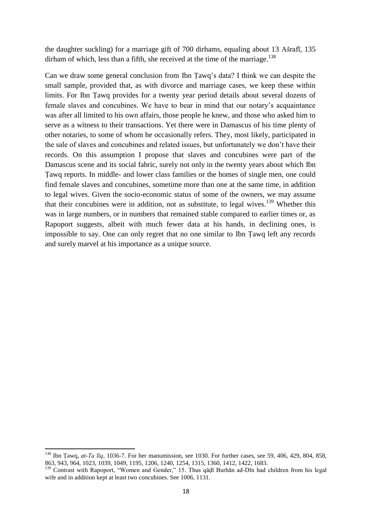the daughter suckling) for a marriage gift of 700 dirhams, equaling about 13 Ašrafī, 135 dirham of which, less than a fifth, she received at the time of the marriage.<sup>138</sup>

Can we draw some general conclusion from Ibn Ṭawq's data? I think we can despite the small sample, provided that, as with divorce and marriage cases, we keep these within limits. For Ibn Ṭawq provides for a twenty year period details about several dozens of female slaves and concubines. We have to bear in mind that our notary's acquaintance was after all limited to his own affairs, those people he knew, and those who asked him to serve as a witness to their transactions. Yet there were in Damascus of his time plenty of other notaries, to some of whom he occasionally refers. They, most likely, participated in the sale of slaves and concubines and related issues, but unfortunately we don't have their records. On this assumption I propose that slaves and concubines were part of the Damascus scene and its social fabric, surely not only in the twenty years about which Ibn Ṭawq reports. In middle- and lower class families or the homes of single men, one could find female slaves and concubines, sometime more than one at the same time, in addition to legal wives. Given the socio-economic status of some of the owners, we may assume that their concubines were in addition, not as substitute, to legal wives.<sup>139</sup> Whether this was in large numbers, or in numbers that remained stable compared to earlier times or, as Rapoport suggests, albeit with much fewer data at his hands, in declining ones, is impossible to say. One can only regret that no one similar to Ibn Ṭawq left any records and surely marvel at his importance as a unique source.

**.** 

<sup>138</sup> Ibn Ṭawq, *at-Taʿlīq*, 1036-7. For her manumission, see 1030. For further cases, see 59, 406, 429, 804, 858, 863, 943, 964, 1023, 1039, 1049, 1195, 1206, 1240, 1254, 1315, 1360, 1412, 1422, 1683.

<sup>&</sup>lt;sup>139</sup> Contrast with Rapoport, "Women and Gender," 15. Thus qāḍī Burhān ad-Dīn had children from his legal wife and in addition kept at least two concubines. See 1006, 1131.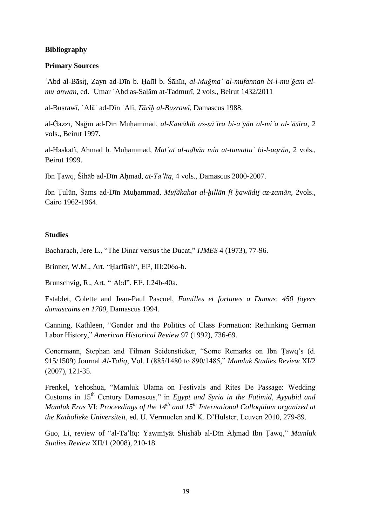#### **Bibliography**

#### **Primary Sources**

ʿAbd al-Bāsiṭ, Zayn ad-Dīn b. Ḫalīl b. Šāhīn, *al-Maǧmaʿ al-mufannan bi-l-muʿǧam almuʿanwan*, ed. ʿUmar ʿAbd as-Salām at-Tadmurī, 2 vols., Beirut 1432/2011

al-Buṣrawī, ʿAlāʾ ad-Dīn ʿAlī, *Tārīḫ al-Buṣrawī*, Damascus 1988.

al-Ġazzī, Naǧm ad-Dīn Muḥammad, *al-Kawākib as-sāʾira bi-aʿyān al-miʾa al-ʿāšira*, 2 vols., Beirut 1997.

al-Haskafī, Aḥmad b. Muḥammad, *Mutʿat al-aḏhān min at-tamattuʿ bi-l-aqrān*, 2 vols., Beirut 1999.

Ibn Ṭawq, Šihāb ad-Dīn Aḥmad, *at-Taʿlīq*, 4 vols., Damascus 2000-2007.

Ibn Ṭulūn, Šams ad-Dīn Muḥammad, *Mufākahat al-ḫillān fī ḥawādiṯ az-zamān*, 2vols., Cairo 1962-1964.

#### **Studies**

Bacharach, Jere L., "The Dinar versus the Ducat," *IJMES* 4 (1973), 77-96.

Brinner, W.M., Art. "Ḥarfūsh", EI², III:206a-b.

Brunschvig, R., Art. "'Abd", EI<sup>2</sup>, I:24b-40a.

Establet, Colette and Jean-Paul Pascuel, *Familles et fortunes a Damas*: *450 foyers damascains en 1700*, Damascus 1994.

Canning, Kathleen, "Gender and the Politics of Class Formation: Rethinking German Labor History," *American Historical Review* 97 (1992), 736-69.

Conermann, Stephan and Tilman Seidensticker, "Some Remarks on Ibn Ṭawq's (d. 915/1509) Journal *Al-Taliq*, Vol. I (885/1480 to 890/1485," *Mamluk Studies Review* XI/2 (2007), 121-35.

Frenkel, Yehoshua, "Mamluk Ulama on Festivals and Rites De Passage: Wedding Customs in 15th Century Damascus," in *Egypt and Syria in the Fatimid, Ayyubid and Mamluk Eras* VI: *Proceedings of the 14th and 15th International Colloquium organized at the Katholieke Universiteit*, ed. U. Vermuelen and K. D'Hulster, Leuven 2010, 279-89.

Guo, Li, review of "al-Taʿlīq: Yawmīyāt Shishāb al-Dīn Aḥmad Ibn Ṭawq," *Mamluk Studies Review* XII/1 (2008), 210-18.